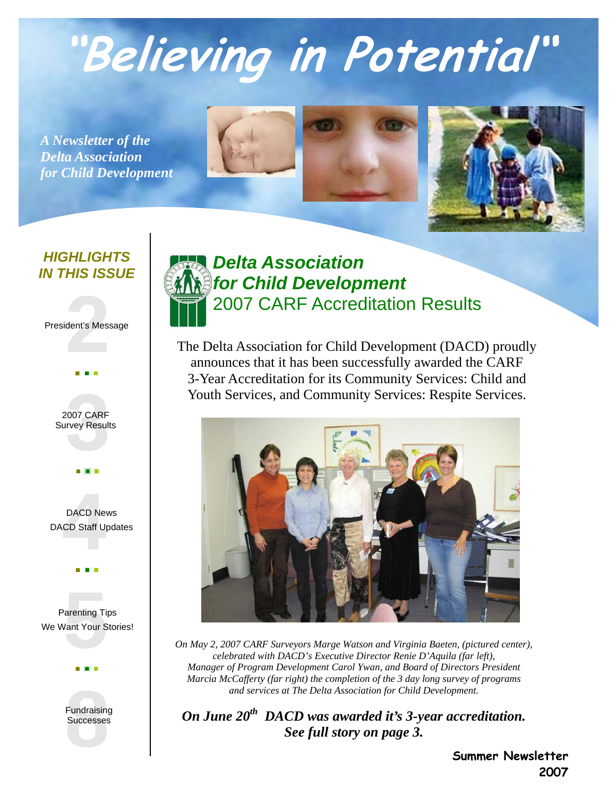# **"Believing in Potential"**

*A Newsletter of the Delta Association for Child Development*





#### *HIGHLIGHTS IN THIS ISSUE*

#### **2** President's Message



## **3** 2007 CARF Survey Results



Parenting Tips<br>Want Your Stories<br>Want Your Stories We Want Your Stories!



## *Delta Association for Child Development*  2007 CARF Accreditation Results

The Delta Association for Child Development (DACD) proudly announces that it has been successfully awarded the CARF 3-Year Accreditation for its Community Services: Child and Youth Services, and Community Services: Respite Services.



*On May 2, 2007 CARF Surveyors Marge Watson and Virginia Baeten, (pictured center), celebrated with DACD's Executive Director Renie D'Aquila (far left), Manager of Program Development Carol Ywan, and Board of Directors President Marcia McCafferty (far right) the completion of the 3 day long survey of programs and services at The Delta Association for Child Development.* 

*On June 20th DACD was awarded it's 3-year accreditation. See full story on page 3.* 

> **Summer Newsletter 2007**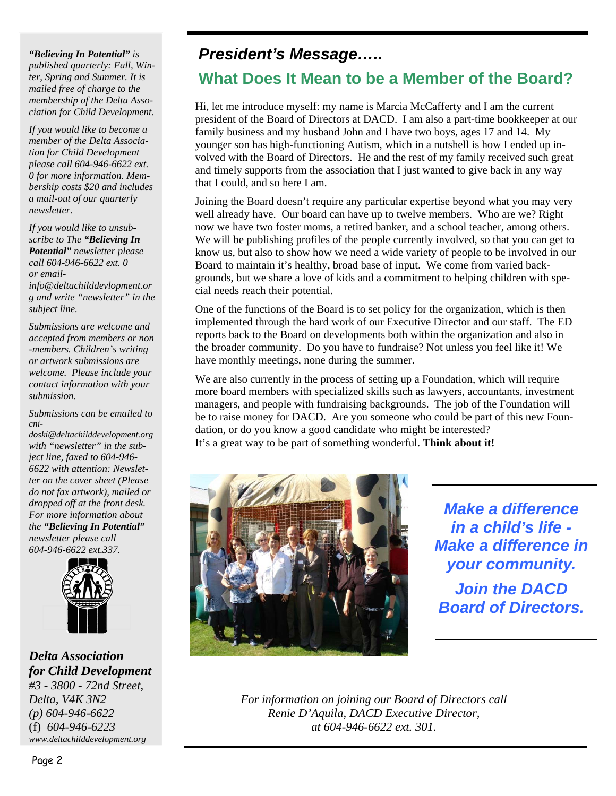*"Believing In Potential" is published quarterly: Fall, Winter, Spring and Summer. It is mailed free of charge to the membership of the Delta Association for Child Development.* 

*If you would like to become a member of the Delta Association for Child Development please call 604-946-6622 ext. 0 for more information. Membership costs \$20 and includes a mail-out of our quarterly newsletter.* 

*If you would like to unsubscribe to The "Believing In Potential" newsletter please call 604-946-6622 ext. 0 or email-*

*info@deltachilddevlopment.or g and write "newsletter" in the subject line.* 

*Submissions are welcome and accepted from members or non -members. Children's writing or artwork submissions are welcome. Please include your contact information with your submission.* 

*Submissions can be emailed to cni-*

*doski@deltachilddevelopment.org with "newsletter" in the subject line, faxed to 604-946- 6622 with attention: Newsletter on the cover sheet (Please do not fax artwork), mailed or dropped off at the front desk. For more information about the "Believing In Potential" newsletter please call 604-946-6622 ext.337.* 



*Delta Association for Child Development #3 - 3800 - 72nd Street, Delta, V4K 3N2 (p) 604-946-6622*  (f) *604-946-6223 www.deltachilddevelopment.org* 

## *President's Message…..*

## **What Does It Mean to be a Member of the Board?**

Hi, let me introduce myself: my name is Marcia McCafferty and I am the current president of the Board of Directors at DACD. I am also a part-time bookkeeper at our family business and my husband John and I have two boys, ages 17 and 14. My younger son has high-functioning Autism, which in a nutshell is how I ended up involved with the Board of Directors. He and the rest of my family received such great and timely supports from the association that I just wanted to give back in any way that I could, and so here I am.

Joining the Board doesn't require any particular expertise beyond what you may very well already have. Our board can have up to twelve members. Who are we? Right now we have two foster moms, a retired banker, and a school teacher, among others. We will be publishing profiles of the people currently involved, so that you can get to know us, but also to show how we need a wide variety of people to be involved in our Board to maintain it's healthy, broad base of input. We come from varied backgrounds, but we share a love of kids and a commitment to helping children with special needs reach their potential.

One of the functions of the Board is to set policy for the organization, which is then implemented through the hard work of our Executive Director and our staff. The ED reports back to the Board on developments both within the organization and also in the broader community. Do you have to fundraise? Not unless you feel like it! We have monthly meetings, none during the summer.

We are also currently in the process of setting up a Foundation, which will require more board members with specialized skills such as lawyers, accountants, investment managers, and people with fundraising backgrounds. The job of the Foundation will be to raise money for DACD. Are you someone who could be part of this new Foundation, or do you know a good candidate who might be interested? It's a great way to be part of something wonderful. **Think about it!** 



*Make a difference in a child's life - Make a difference in your community. Join the DACD Board of Directors.* 

*For information on joining our Board of Directors call Renie D'Aquila, DACD Executive Director, at 604-946-6622 ext. 301.*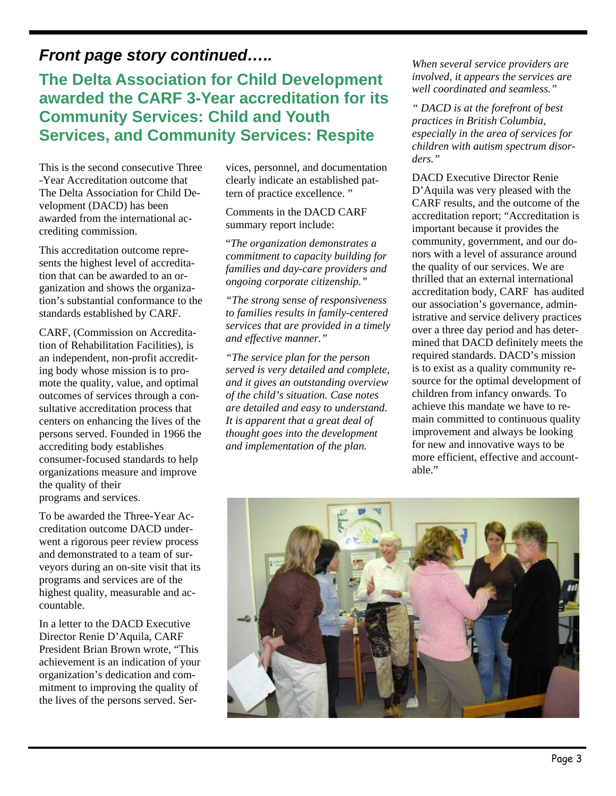## *Front page story continued…..*

## **The Delta Association for Child Development awarded the CARF 3-Year accreditation for its Community Services: Child and Youth Services, and Community Services: Respite**

This is the second consecutive Three -Year Accreditation outcome that The Delta Association for Child Development (DACD) has been awarded from the international accrediting commission.

This accreditation outcome represents the highest level of accreditation that can be awarded to an organization and shows the organization's substantial conformance to the standards established by CARF.

CARF, (Commission on Accreditation of Rehabilitation Facilities), is an independent, non-profit accrediting body whose mission is to promote the quality, value, and optimal outcomes of services through a consultative accreditation process that centers on enhancing the lives of the persons served. Founded in 1966 the accrediting body establishes consumer-focused standards to help organizations measure and improve the quality of their programs and services.

To be awarded the Three-Year Accreditation outcome DACD underwent a rigorous peer review process and demonstrated to a team of surveyors during an on-site visit that its programs and services are of the highest quality, measurable and accountable.

In a letter to the DACD Executive Director Renie D'Aquila, CARF President Brian Brown wrote, "This achievement is an indication of your organization's dedication and commitment to improving the quality of the lives of the persons served. Services, personnel, and documentation clearly indicate an established pattern of practice excellence. "

Comments in the DACD CARF summary report include:

"*The organization demonstrates a commitment to capacity building for families and day-care providers and ongoing corporate citizenship."* 

*"The strong sense of responsiveness to families results in family-centered services that are provided in a timely and effective manner."* 

*"The service plan for the person served is very detailed and complete, and it gives an outstanding overview of the child's situation. Case notes are detailed and easy to understand. It is apparent that a great deal of thought goes into the development and implementation of the plan.* 

*When several service providers are involved, it appears the services are well coordinated and seamless."* 

*" DACD is at the forefront of best practices in British Columbia, especially in the area of services for children with autism spectrum disorders."* 

DACD Executive Director Renie D'Aquila was very pleased with the CARF results, and the outcome of the accreditation report; "Accreditation is important because it provides the community, government, and our donors with a level of assurance around the quality of our services. We are thrilled that an external international accreditation body, CARF has audited our association's governance, administrative and service delivery practices over a three day period and has determined that DACD definitely meets the required standards. DACD's mission is to exist as a quality community resource for the optimal development of children from infancy onwards. To achieve this mandate we have to remain committed to continuous quality improvement and always be looking for new and innovative ways to be more efficient, effective and accountable."

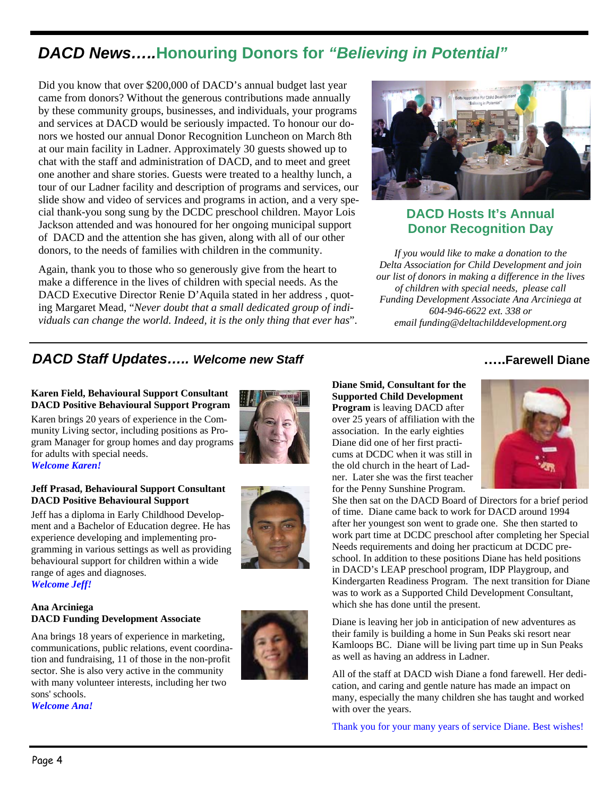## *DACD News…..***Honouring Donors for** *"Believing in Potential"*

Did you know that over \$200,000 of DACD's annual budget last year came from donors? Without the generous contributions made annually by these community groups, businesses, and individuals, your programs and services at DACD would be seriously impacted. To honour our donors we hosted our annual Donor Recognition Luncheon on March 8th at our main facility in Ladner. Approximately 30 guests showed up to chat with the staff and administration of DACD, and to meet and greet one another and share stories. Guests were treated to a healthy lunch, a tour of our Ladner facility and description of programs and services, our slide show and video of services and programs in action, and a very special thank-you song sung by the DCDC preschool children. Mayor Lois Jackson attended and was honoured for her ongoing municipal support of DACD and the attention she has given, along with all of our other donors, to the needs of families with children in the community.

Again, thank you to those who so generously give from the heart to make a difference in the lives of children with special needs. As the DACD Executive Director Renie D'Aquila stated in her address , quoting Margaret Mead, "*Never doubt that a small dedicated group of individuals can change the world. Indeed, it is the only thing that ever has*".



#### **DACD Hosts It's Annual Donor Recognition Day**

*If you would like to make a donation to the Delta Association for Child Development and join our list of donors in making a difference in the lives of children with special needs, please call Funding Development Associate Ana Arciniega at 604-946-6622 ext. 338 or email funding@deltachilddevelopment.org* 

#### *DACD Staff Updates….. Welcome new Staff*

#### **Karen Field, Behavioural Support Consultant DACD Positive Behavioural Support Program**

Karen brings 20 years of experience in the Community Living sector, including positions as Program Manager for group homes and day programs for adults with special needs. *Welcome Karen!* 

#### **Jeff Prasad, Behavioural Support Consultant DACD Positive Behavioural Support**

Jeff has a diploma in Early Childhood Development and a Bachelor of Education degree. He has experience developing and implementing programming in various settings as well as providing behavioural support for children within a wide range of ages and diagnoses. *Welcome Jeff!*





#### **Ana Arciniega DACD Funding Development Associate**

Ana brings 18 years of experience in marketing, communications, public relations, event coordination and fundraising, 11 of those in the non-profit sector. She is also very active in the community with many volunteer interests, including her two sons' schools.



*Welcome Ana!*

#### **…..Farewell Diane**

**Diane Smid, Consultant for the Supported Child Development Program** is leaving DACD after over 25 years of affiliation with the association. In the early eighties Diane did one of her first practicums at DCDC when it was still in the old church in the heart of Ladner. Later she was the first teacher for the Penny Sunshine Program.



She then sat on the DACD Board of Directors for a brief period of time. Diane came back to work for DACD around 1994 after her youngest son went to grade one. She then started to work part time at DCDC preschool after completing her Special Needs requirements and doing her practicum at DCDC preschool. In addition to these positions Diane has held positions in DACD's LEAP preschool program, IDP Playgroup, and Kindergarten Readiness Program. The next transition for Diane was to work as a Supported Child Development Consultant, which she has done until the present.

Diane is leaving her job in anticipation of new adventures as their family is building a home in Sun Peaks ski resort near Kamloops BC. Diane will be living part time up in Sun Peaks as well as having an address in Ladner.

All of the staff at DACD wish Diane a fond farewell. Her dedication, and caring and gentle nature has made an impact on many, especially the many children she has taught and worked with over the years.

Thank you for your many years of service Diane. Best wishes!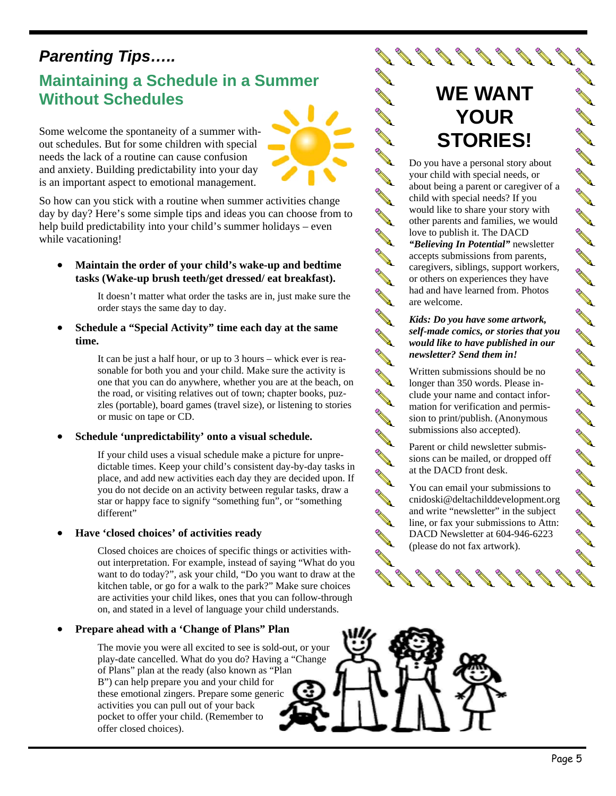## *Parenting Tips…..*

## **Maintaining a Schedule in a Summer Without Schedules**

Some welcome the spontaneity of a summer without schedules. But for some children with special needs the lack of a routine can cause confusion and anxiety. Building predictability into your day is an important aspect to emotional management.

So how can you stick with a routine when summer activities change day by day? Here's some simple tips and ideas you can choose from to help build predictability into your child's summer holidays – even while vacationing!

• **Maintain the order of your child's wake-up and bedtime tasks (Wake-up brush teeth/get dressed/ eat breakfast).** 

> It doesn't matter what order the tasks are in, just make sure the order stays the same day to day.

• **Schedule a "Special Activity" time each day at the same time.** 

> It can be just a half hour, or up to 3 hours – whick ever is reasonable for both you and your child. Make sure the activity is one that you can do anywhere, whether you are at the beach, on the road, or visiting relatives out of town; chapter books, puzzles (portable), board games (travel size), or listening to stories or music on tape or CD.

• **Schedule 'unpredictability' onto a visual schedule.** 

If your child uses a visual schedule make a picture for unpredictable times. Keep your child's consistent day-by-day tasks in place, and add new activities each day they are decided upon. If you do not decide on an activity between regular tasks, draw a star or happy face to signify "something fun", or "something different"

#### • **Have 'closed choices' of activities ready**

Closed choices are choices of specific things or activities without interpretation. For example, instead of saying "What do you want to do today?", ask your child, "Do you want to draw at the kitchen table, or go for a walk to the park?" Make sure choices are activities your child likes, ones that you can follow-through on, and stated in a level of language your child understands.

#### • **Prepare ahead with a 'Change of Plans" Plan**

The movie you were all excited to see is sold-out, or your play-date cancelled. What do you do? Having a "Change of Plans" plan at the ready (also known as "Plan B") can help prepare you and your child for these emotional zingers. Prepare some generic activities you can pull out of your back pocket to offer your child. (Remember to offer closed choices).

## **WE WANT YOUR STORIES!**

Do you have a personal story about your child with special needs, or about being a parent or caregiver of a child with special needs? If you would like to share your story with other parents and families, we would love to publish it. The DACD *"Believing In Potential"* newsletter accepts submissions from parents, caregivers, siblings, support workers, or others on experiences they have had and have learned from. Photos are welcome.

**ANTI AVE AVE ANTI** 

**AVENT AVENT ANTI** 

**ANTI ANTI ANTI AVE ANTI** 

**ANTI AVEN AVE** 

**RAY** 

**ANTI ANTI Contract Contract Contract Contract Contract Contract Contract Contract Contract Contract Contract Contract C** 

#### *Kids: Do you have some artwork, self-made comics, or stories that you would like to have published in our newsletter? Send them in!*

Written submissions should be no longer than 350 words. Please include your name and contact information for verification and permission to print/publish. (Anonymous submissions also accepted).

Parent or child newsletter submissions can be mailed, or dropped off at the DACD front desk.

You can email your submissions to cnidoski@deltachilddevelopment.org and write "newsletter" in the subject line, or fax your submissions to Attn: DACD Newsletter at 604-946-6223 (please do not fax artwork).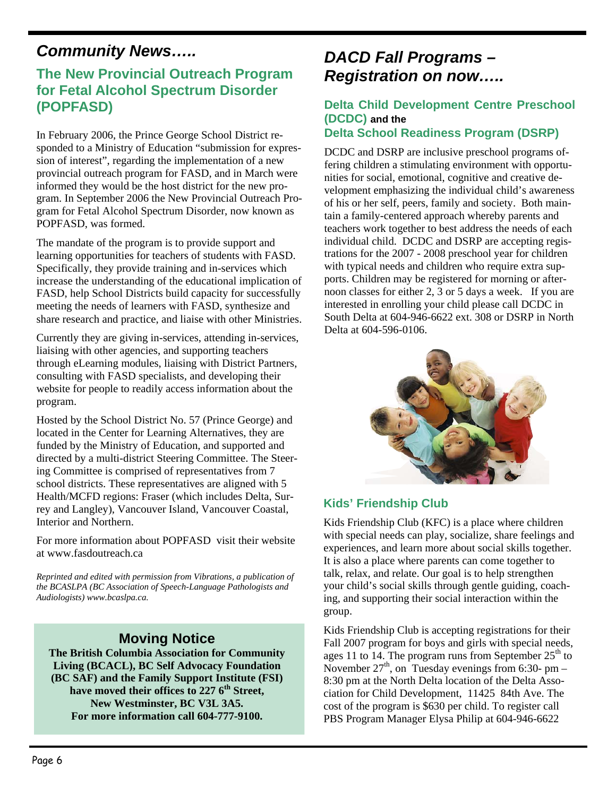## *Community News…..*

#### **The New Provincial Outreach Program for Fetal Alcohol Spectrum Disorder (POPFASD)**

In February 2006, the Prince George School District responded to a Ministry of Education "submission for expression of interest", regarding the implementation of a new provincial outreach program for FASD, and in March were informed they would be the host district for the new program. In September 2006 the New Provincial Outreach Program for Fetal Alcohol Spectrum Disorder, now known as POPFASD, was formed.

The mandate of the program is to provide support and learning opportunities for teachers of students with FASD. Specifically, they provide training and in-services which increase the understanding of the educational implication of FASD, help School Districts build capacity for successfully meeting the needs of learners with FASD, synthesize and share research and practice, and liaise with other Ministries.

Currently they are giving in-services, attending in-services, liaising with other agencies, and supporting teachers through eLearning modules, liaising with District Partners, consulting with FASD specialists, and developing their website for people to readily access information about the program.

Hosted by the School District No. 57 (Prince George) and located in the Center for Learning Alternatives, they are funded by the Ministry of Education, and supported and directed by a multi-district Steering Committee. The Steering Committee is comprised of representatives from 7 school districts. These representatives are aligned with 5 Health/MCFD regions: Fraser (which includes Delta, Surrey and Langley), Vancouver Island, Vancouver Coastal, Interior and Northern.

For more information about POPFASD visit their website at www.fasdoutreach.ca

*Reprinted and edited with permission from Vibrations, a publication of the BCASLPA (BC Association of Speech-Language Pathologists and Audiologists) www.bcaslpa.ca.*

#### **Moving Notice**

**The British Columbia Association for Community Living (BCACL), BC Self Advocacy Foundation (BC SAF) and the Family Support Institute (FSI) have moved their offices to 227 6th Street, New Westminster, BC V3L 3A5. For more information call 604-777-9100.** 

## *DACD Fall Programs – Registration on now…..*

#### **Delta Child Development Centre Preschool (DCDC) and the Delta School Readiness Program (DSRP)**

DCDC and DSRP are inclusive preschool programs offering children a stimulating environment with opportunities for social, emotional, cognitive and creative development emphasizing the individual child's awareness of his or her self, peers, family and society. Both maintain a family-centered approach whereby parents and teachers work together to best address the needs of each individual child. DCDC and DSRP are accepting registrations for the 2007 - 2008 preschool year for children with typical needs and children who require extra supports. Children may be registered for morning or afternoon classes for either 2, 3 or 5 days a week. If you are interested in enrolling your child please call DCDC in South Delta at 604-946-6622 ext. 308 or DSRP in North Delta at 604-596-0106.



#### **Kids' Friendship Club**

Kids Friendship Club (KFC) is a place where children with special needs can play, socialize, share feelings and experiences, and learn more about social skills together. It is also a place where parents can come together to talk, relax, and relate. Our goal is to help strengthen your child's social skills through gentle guiding, coaching, and supporting their social interaction within the group.

Kids Friendship Club is accepting registrations for their Fall 2007 program for boys and girls with special needs, ages 11 to 14. The program runs from September  $25<sup>th</sup>$  to November  $27<sup>th</sup>$ , on Tuesday evenings from 6:30- pm – 8:30 pm at the North Delta location of the Delta Association for Child Development, 11425 84th Ave. The cost of the program is \$630 per child. To register call PBS Program Manager Elysa Philip at 604-946-6622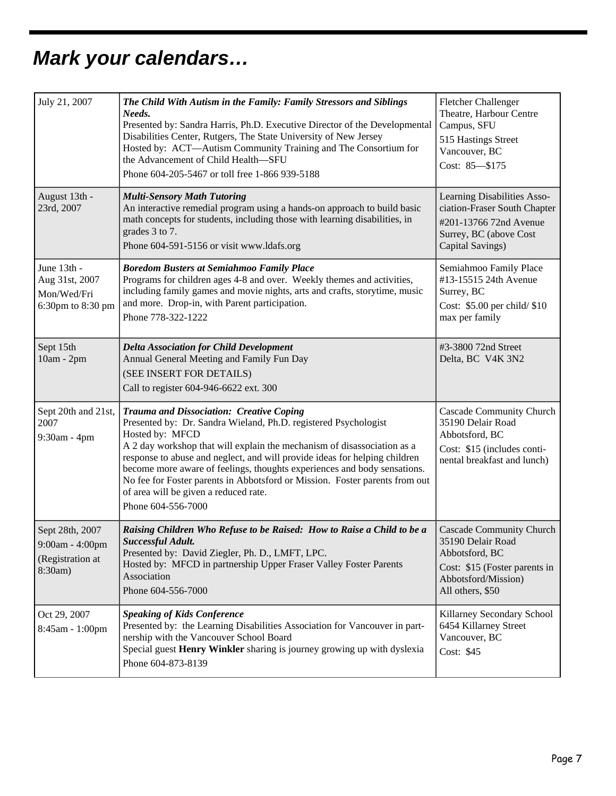## *Mark your calendars…*

| July 21, 2007                                                     | The Child With Autism in the Family: Family Stressors and Siblings<br>Needs.<br>Presented by: Sandra Harris, Ph.D. Executive Director of the Developmental<br>Disabilities Center, Rutgers, The State University of New Jersey<br>Hosted by: ACT-Autism Community Training and The Consortium for<br>the Advancement of Child Health-SFU<br>Phone 604-205-5467 or toll free 1-866 939-5188                                                                                                                        | Fletcher Challenger<br>Theatre, Harbour Centre<br>Campus, SFU<br>515 Hastings Street<br>Vancouver, BC<br>Cost: 85-\$175                            |
|-------------------------------------------------------------------|-------------------------------------------------------------------------------------------------------------------------------------------------------------------------------------------------------------------------------------------------------------------------------------------------------------------------------------------------------------------------------------------------------------------------------------------------------------------------------------------------------------------|----------------------------------------------------------------------------------------------------------------------------------------------------|
| August 13th -<br>23rd, 2007                                       | <b>Multi-Sensory Math Tutoring</b><br>An interactive remedial program using a hands-on approach to build basic<br>math concepts for students, including those with learning disabilities, in<br>grades 3 to 7.<br>Phone 604-591-5156 or visit www.ldafs.org                                                                                                                                                                                                                                                       | Learning Disabilities Asso-<br>ciation-Fraser South Chapter<br>#201-13766 72nd Avenue<br>Surrey, BC (above Cost<br>Capital Savings)                |
| June 13th -<br>Aug 31st, 2007<br>Mon/Wed/Fri<br>6:30pm to 8:30 pm | <b>Boredom Busters at Semiahmoo Family Place</b><br>Programs for children ages 4-8 and over. Weekly themes and activities,<br>including family games and movie nights, arts and crafts, storytime, music<br>and more. Drop-in, with Parent participation.<br>Phone 778-322-1222                                                                                                                                                                                                                                   | Semiahmoo Family Place<br>#13-15515 24th Avenue<br>Surrey, BC<br>Cost: \$5.00 per child/ \$10<br>max per family                                    |
| Sept 15th<br>10am - 2pm                                           | <b>Delta Association for Child Development</b><br>Annual General Meeting and Family Fun Day<br>(SEE INSERT FOR DETAILS)<br>Call to register 604-946-6622 ext. 300                                                                                                                                                                                                                                                                                                                                                 | #3-3800 72nd Street<br>Delta, BC V4K 3N2                                                                                                           |
| Sept 20th and 21st,<br>2007<br>9:30am - 4pm                       | Trauma and Dissociation: Creative Coping<br>Presented by: Dr. Sandra Wieland, Ph.D. registered Psychologist<br>Hosted by: MFCD<br>A 2 day workshop that will explain the mechanism of disassociation as a<br>response to abuse and neglect, and will provide ideas for helping children<br>become more aware of feelings, thoughts experiences and body sensations.<br>No fee for Foster parents in Abbotsford or Mission. Foster parents from out<br>of area will be given a reduced rate.<br>Phone 604-556-7000 | <b>Cascade Community Church</b><br>35190 Delair Road<br>Abbotsford, BC<br>Cost: \$15 (includes conti-<br>nental breakfast and lunch)               |
| Sept 28th, 2007<br>9:00am - 4:00pm<br>(Registration at<br>8:30am) | Raising Children Who Refuse to be Raised: How to Raise a Child to be a<br>Successful Adult.<br>Presented by: David Ziegler, Ph. D., LMFT, LPC.<br>Hosted by: MFCD in partnership Upper Fraser Valley Foster Parents<br>Association<br>Phone 604-556-7000                                                                                                                                                                                                                                                          | <b>Cascade Community Church</b><br>35190 Delair Road<br>Abbotsford, BC<br>Cost: \$15 (Foster parents in<br>Abbotsford/Mission)<br>All others, \$50 |
| Oct 29, 2007<br>8:45am - 1:00pm                                   | <b>Speaking of Kids Conference</b><br>Presented by: the Learning Disabilities Association for Vancouver in part-<br>nership with the Vancouver School Board<br>Special guest Henry Winkler sharing is journey growing up with dyslexia<br>Phone 604-873-8139                                                                                                                                                                                                                                                      | Killarney Secondary School<br>6454 Killarney Street<br>Vancouver, BC<br>Cost: \$45                                                                 |